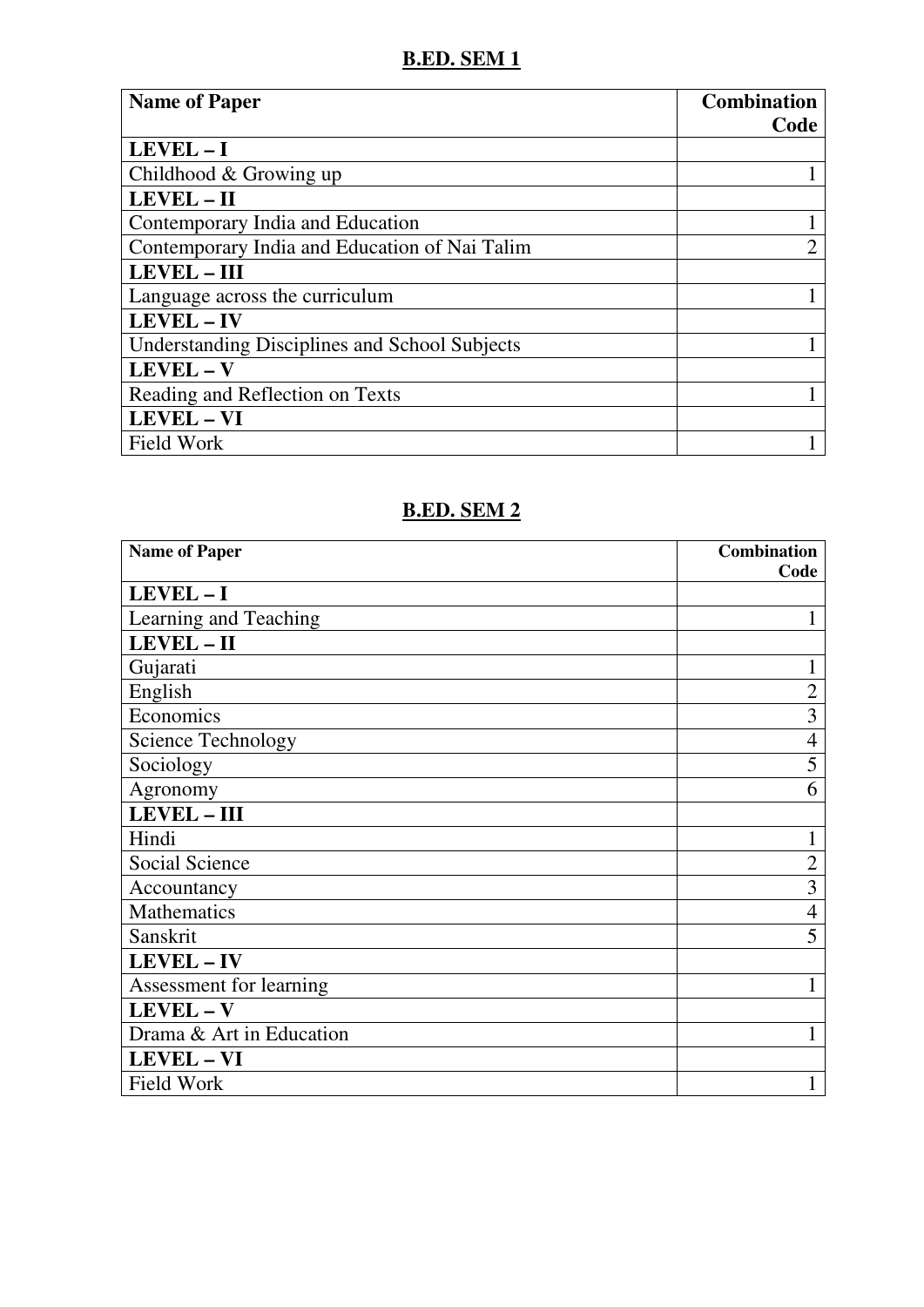## **B.ED. SEM 1**

| <b>Name of Paper</b>                                 | <b>Combination</b> |
|------------------------------------------------------|--------------------|
|                                                      | Code               |
| $LEVEL - I$                                          |                    |
| Childhood & Growing up                               |                    |
| LEVEL - II                                           |                    |
| Contemporary India and Education                     |                    |
| Contemporary India and Education of Nai Talim        | $\overline{2}$     |
| <b>LEVEL - III</b>                                   |                    |
| Language across the curriculum                       |                    |
| <b>LEVEL - IV</b>                                    |                    |
| <b>Understanding Disciplines and School Subjects</b> |                    |
| LEVEL - V                                            |                    |
| Reading and Reflection on Texts                      |                    |
| LEVEL - VI                                           |                    |
| <b>Field Work</b>                                    |                    |

## **B.ED. SEM 2**

| <b>Name of Paper</b>      | <b>Combination</b> |
|---------------------------|--------------------|
|                           | Code               |
| LEVEL-I                   |                    |
| Learning and Teaching     |                    |
| LEVEL-II                  |                    |
| Gujarati                  | 1                  |
| English                   | $\overline{2}$     |
| Economics                 | 3                  |
| <b>Science Technology</b> | 4                  |
| Sociology                 | 5                  |
| Agronomy                  | 6                  |
| <b>LEVEL-III</b>          |                    |
| Hindi                     |                    |
| Social Science            | $\overline{2}$     |
| Accountancy               | 3                  |
| <b>Mathematics</b>        | $\overline{4}$     |
| Sanskrit                  | 5                  |
| <b>LEVEL-IV</b>           |                    |
| Assessment for learning   | 1                  |
| LEVEL - V                 |                    |
| Drama & Art in Education  | 1                  |
| <b>LEVEL-VI</b>           |                    |
| <b>Field Work</b>         |                    |